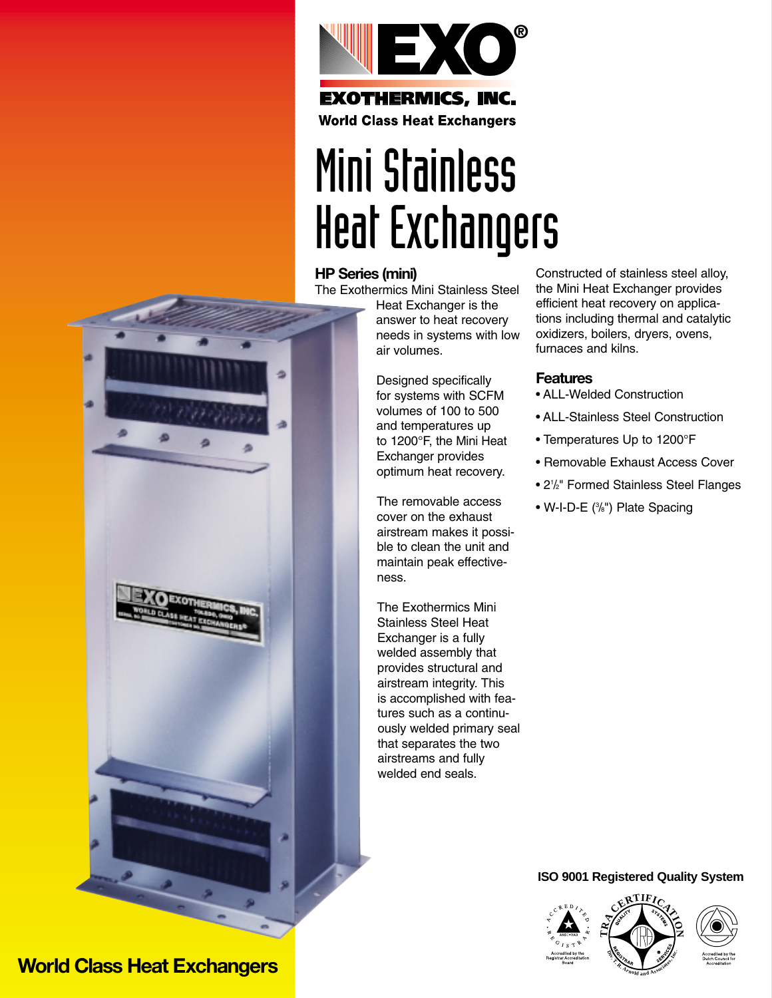

**World Class Heat Exchangers** 

# Mini Stainless Heat Exchangers

#### **HP Series (mini)**

The Exothermics Mini Stainless Steel

Heat Exchanger is the answer to heat recovery needs in systems with low air volumes.

Designed specifically for systems with SCFM volumes of 100 to 500 and temperatures up to 1200°F, the Mini Heat Exchanger provides optimum heat recovery.

The removable access cover on the exhaust airstream makes it possible to clean the unit and maintain peak effectiveness.

The Exothermics Mini Stainless Steel Heat Exchanger is a fully welded assembly that provides structural and airstream integrity. This is accomplished with features such as a continuously welded primary seal that separates the two airstreams and fully welded end seals.

Constructed of stainless steel alloy, the Mini Heat Exchanger provides efficient heat recovery on applications including thermal and catalytic oxidizers, boilers, dryers, ovens, furnaces and kilns.

#### **Features**

- ALL-Welded Construction
- ALL-Stainless Steel Construction
- Temperatures Up to 1200°F
- Removable Exhaust Access Cover
- 21 /2" Formed Stainless Steel Flanges
- W-I-D-E (%") Plate Spacing

#### **ISO 9001 Registered Quality System**





### **World Class Heat Exchangers**